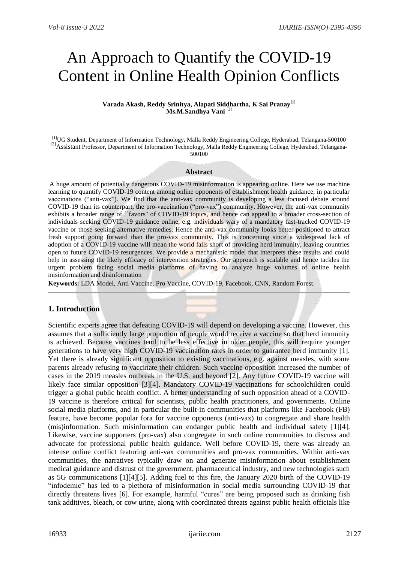# An Approach to Quantify the COVID-19 Content in Online Health Opinion Conflicts

#### **Varada Akash, Reddy Srinitya, Alapati Siddhartha, K Sai Pranay[1] Ms.M.Sandhya Vani** [2]

[1]UG Student, Department of Information Technology**,** Malla Reddy Engineering College, Hyderabad, Telangana-500100 [2]Assistant Professor, Department of Information Technology**,** Malla Reddy Engineering College, Hyderabad, Telangana-500100

#### **Abstract**

A huge amount of potentially dangerous COVID-19 misinformation is appearing online. Here we use machine learning to quantify COVID-19 content among online opponents of establishment health guidance, in particular vaccinations ("anti-vax"). We find that the anti-vax community is developing a less focused debate around COVID-19 than its counterpart, the pro-vaccination ("pro-vax") community. However, the anti-vax community exhibits a broader range of ``favors'' of COVID-19 topics, and hence can appeal to a broader cross-section of individuals seeking COVID-19 guidance online, e.g. individuals wary of a mandatory fast-tracked COVID-19 vaccine or those seeking alternative remedies. Hence the anti-vax community looks better positioned to attract fresh support going forward than the pro-vax community. This is concerning since a widespread lack of adoption of a COVID-19 vaccine will mean the world falls short of providing herd immunity, leaving countries open to future COVID-19 resurgences. We provide a mechanistic model that interprets these results and could help in assessing the likely efficacy of intervention strategies. Our approach is scalable and hence tackles the urgent problem facing social media platforms of having to analyze huge volumes of online health misinformation and disinformation

**Keywords:** LDA Model, Anti Vaccine, Pro Vaccine, COVID-19, Facebook, CNN, Random Forest.

## **1. Introduction**

Scientific experts agree that defeating COVID-19 will depend on developing a vaccine. However, this assumes that a sufficiently large proportion of people would receive a vaccine so that herd immunity is achieved. Because vaccines tend to be less effective in older people, this will require younger generations to have very high COVID-19 vaccination rates in order to guarantee herd immunity [1]. Yet there is already significant opposition to existing vaccinations, e.g. against measles, with some parents already refusing to vaccinate their children. Such vaccine opposition increased the number of cases in the 2019 measles outbreak in the U.S. and beyond [2]. Any future COVID-19 vaccine will likely face similar opposition [3][4]. Mandatory COVID-19 vaccinations for schoolchildren could trigger a global public health conflict. A better understanding of such opposition ahead of a COVID-19 vaccine is therefore critical for scientists, public health practitioners, and governments. Online social media platforms, and in particular the built-in communities that platforms like Facebook (FB) feature, have become popular fora for vaccine opponents (anti-vax) to congregate and share health (mis)information. Such misinformation can endanger public health and individual safety [1][4]. Likewise, vaccine supporters (pro-vax) also congregate in such online communities to discuss and advocate for professional public health guidance. Well before COVID-19, there was already an intense online conflict featuring anti-vax communities and pro-vax communities. Within anti-vax communities, the narratives typically draw on and generate misinformation about establishment medical guidance and distrust of the government, pharmaceutical industry, and new technologies such as 5G communications [1][4][5]. Adding fuel to this fire, the January 2020 birth of the COVID-19 "infodemic" has led to a plethora of misinformation in social media surrounding COVID-19 that directly threatens lives [6]. For example, harmful "cures" are being proposed such as drinking fish tank additives, bleach, or cow urine, along with coordinated threats against public health officials like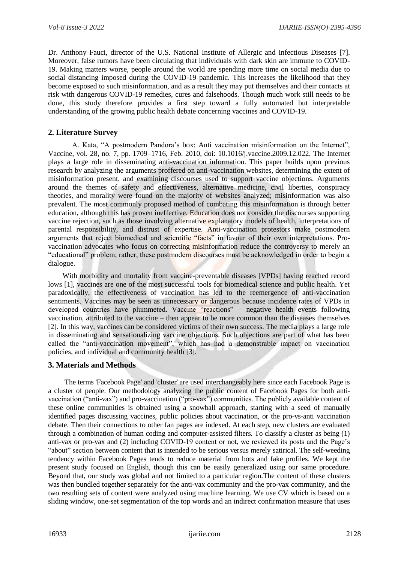Dr. Anthony Fauci, director of the U.S. National Institute of Allergic and Infectious Diseases [7]. Moreover, false rumors have been circulating that individuals with dark skin are immune to COVID-19. Making matters worse, people around the world are spending more time on social media due to social distancing imposed during the COVID-19 pandemic. This increases the likelihood that they become exposed to such misinformation, and as a result they may put themselves and their contacts at risk with dangerous COVID-19 remedies, cures and falsehoods. Though much work still needs to be done, this study therefore provides a first step toward a fully automated but interpretable understanding of the growing public health debate concerning vaccines and COVID-19.

# **2. Literature Survey**

A. Kata, "A postmodern Pandora's box: Anti vaccination misinformation on the Internet", Vaccine, vol. 28, no. 7, pp. 1709–1716, Feb. 2010, doi: 10.1016/j.vaccine.2009.12.022. The Internet plays a large role in disseminating anti-vaccination information. This paper builds upon previous research by analyzing the arguments proffered on anti-vaccination websites, determining the extent of misinformation present, and examining discourses used to support vaccine objections. Arguments around the themes of safety and effectiveness, alternative medicine, civil liberties, conspiracy theories, and morality were found on the majority of websites analyzed; misinformation was also prevalent. The most commonly proposed method of combating this misinformation is through better education, although this has proven ineffective. Education does not consider the discourses supporting vaccine rejection, such as those involving alternative explanatory models of health, interpretations of parental responsibility, and distrust of expertise. Anti-vaccination protestors make postmodern arguments that reject biomedical and scientific "facts" in favour of their own interpretations. Provaccination advocates who focus on correcting misinformation reduce the controversy to merely an "educational" problem; rather, these postmodern discourses must be acknowledged in order to begin a dialogue.

With morbidity and mortality from vaccine-preventable diseases [VPDs] having reached record lows [1], vaccines are one of the most successful tools for biomedical science and public health. Yet paradoxically, the effectiveness of vaccination has led to the reemergence of anti-vaccination sentiments. Vaccines may be seen as unnecessary or dangerous because incidence rates of VPDs in developed countries have plummeted. Vaccine "reactions" – negative health events following vaccination, attributed to the vaccine – then appear to be more common than the diseases themselves [2]. In this way, vaccines can be considered victims of their own success. The media plays a large role in disseminating and sensationalizing vaccine objections. Such objections are part of what has been called the "anti-vaccination movement", which has had a demonstrable impact on vaccination policies, and individual and community health [3].

# **3. Materials and Methods**

The terms 'Facebook Page' and 'cluster' are used interchangeably here since each Facebook Page is a cluster of people. Our methodology analyzing the public content of Facebook Pages for both antivaccination ("anti-vax") and pro-vaccination ("pro-vax") communities. The publicly available content of these online communities is obtained using a snowball approach, starting with a seed of manually identified pages discussing vaccines, public policies about vaccination, or the pro-vs-anti vaccination debate. Then their connections to other fan pages are indexed. At each step, new clusters are evaluated through a combination of human coding and computer-assisted filters. To classify a cluster as being (1) anti-vax or pro-vax and (2) including COVID-19 content or not, we reviewed its posts and the Page's "about" section between content that is intended to be serious versus merely satirical. The self-weeding tendency within Facebook Pages tends to reduce material from bots and fake profiles. We kept the present study focused on English, though this can be easily generalized using our same procedure. Beyond that, our study was global and not limited to a particular region.The content of these clusters was then bundled together separately for the anti-vax community and the pro-vax community, and the two resulting sets of content were analyzed using machine learning. We use CV which is based on a sliding window, one-set segmentation of the top words and an indirect confirmation measure that uses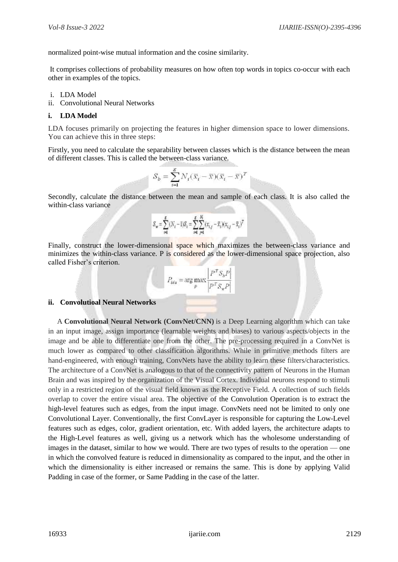normalized point-wise mutual information and the cosine similarity.

It comprises collections of probability measures on how often top words in topics co-occur with each other in examples of the topics.

- i. LDA Model
- ii. Convolutional Neural Networks

### **i. LDA Model**

LDA focuses primarily on projecting the features in higher dimension space to lower dimensions. You can achieve this in three steps:

Firstly, you need to calculate the separability between classes which is the distance between the mean of different classes. This is called the between-class variance*.*

$$
S_b = \sum_{i=1}^g N_i (\overline{x}_i - \overline{x})(\overline{x}_i - \overline{x})^T
$$

Secondly, calculate the distance between the mean and sample of each class. It is also called the within-class variance

$$
S_w = \sum_{i=1}^g (N_i-1) S_i = \sum_{i=1}^g \sum_{j=1}^N (x_{i,j} - \overline{x}_i) (x_{i,j} - \overline{x}_i)^T
$$

Finally, construct the lower-dimensional space which maximizes the between-class variance and minimizes the within-class variance. P is considered as the lower-dimensional space projection, also called Fisher's criterion.

$$
P_{lda} = \arg \max_{P} \frac{\left| P^T S_b P \right|}{\left| P^T S_w P \right|}
$$

## **ii. Convolutioal Neural Networks**

A **Convolutional Neural Network (ConvNet/CNN)** is a Deep Learning algorithm which can take in an input image, assign importance (learnable weights and biases) to various aspects/objects in the image and be able to differentiate one from the other. The pre-processing required in a ConvNet is much lower as compared to other classification algorithms. While in primitive methods filters are hand-engineered, with enough training, ConvNets have the ability to learn these filters/characteristics. The architecture of a ConvNet is analogous to that of the connectivity pattern of Neurons in the Human Brain and was inspired by the organization of the Visual Cortex. Individual neurons respond to stimuli only in a restricted region of the visual field known as the Receptive Field. A collection of such fields overlap to cover the entire visual area. The objective of the Convolution Operation is to extract the high-level features such as edges, from the input image. ConvNets need not be limited to only one Convolutional Layer. Conventionally, the first ConvLayer is responsible for capturing the Low-Level features such as edges, color, gradient orientation, etc. With added layers, the architecture adapts to the High-Level features as well, giving us a network which has the wholesome understanding of images in the dataset, similar to how we would. There are two types of results to the operation — one in which the convolved feature is reduced in dimensionality as compared to the input, and the other in which the dimensionality is either increased or remains the same. This is done by applying Valid Padding in case of the former, or Same Padding in the case of the latter.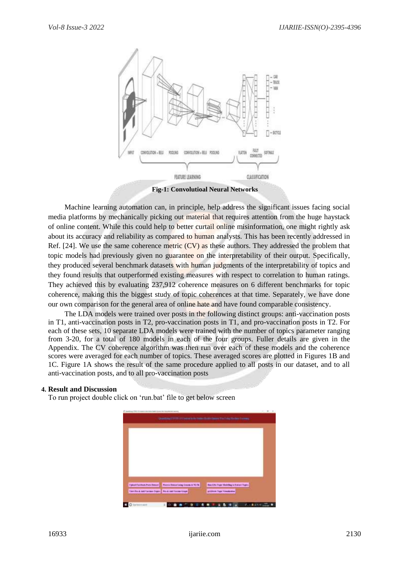

**Fig-1: Convolutioal Neural Networks**

Machine learning automation can, in principle, help address the significant issues facing social media platforms by mechanically picking out material that requires attention from the huge haystack of online content. While this could help to better curtail online misinformation, one might rightly ask about its accuracy and reliability as compared to human analysts. This has been recently addressed in Ref. [24]. We use the same coherence metric (CV) as these authors. They addressed the problem that topic models had previously given no guarantee on the interpretability of their output. Specifically, they produced several benchmark datasets with human judgments of the interpretability of topics and they found results that outperformed existing measures with respect to correlation to human ratings. They achieved this by evaluating 237,912 coherence measures on 6 different benchmarks for topic coherence, making this the biggest study of topic coherences at that time. Separately, we have done our own comparison for the general area of online hate and have found comparable consistency.

The LDA models were trained over posts in the following distinct groups: anti-vaccination posts in T1, anti-vaccination posts in T2, pro-vaccination posts in T1, and pro-vaccination posts in T2. For each of these sets, 10 separate LDA models were trained with the number of topics parameter ranging from 3-20, for a total of 180 models in each of the four groups. Fuller details are given in the Appendix. The CV coherence algorithm was then run over each of these models and the coherence scores were averaged for each number of topics. These averaged scores are plotted in Figures 1B and 1C. Figure 1A shows the result of the same procedure applied to all posts in our dataset, and to all anti-vaccination posts, and to all pro-vaccination posts

#### **4. Result and Discussion**

To run project double click on 'run.bat' file to get below screen

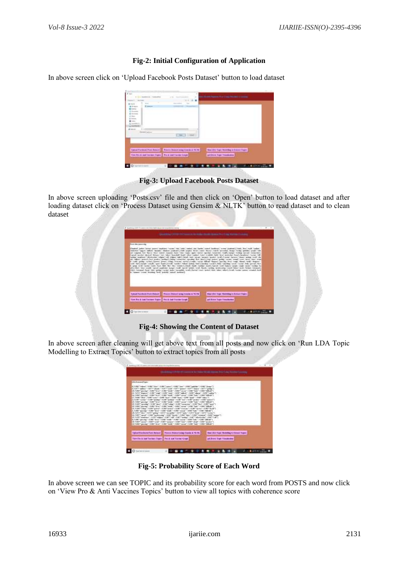# **Fig-2: Initial Configuration of Application**

In above screen click on 'Upload Facebook Posts Dataset' button to load dataset

|                                       |                                          | r.<br>n                           |                                                    |
|---------------------------------------|------------------------------------------|-----------------------------------|----------------------------------------------------|
|                                       |                                          |                                   |                                                    |
| E                                     | <b>Taken and</b>                         |                                   |                                                    |
| <b>Track Eldorom</b><br>L. And Editor |                                          | ÷                                 |                                                    |
|                                       | <b>Electric Photosoph Plane Research</b> | Figures Statement County of TV PR | <b>Size Like Engry Manufing to Economy English</b> |
|                                       | The first automorphism that automorphism |                                   | goldston Topp Visualcome                           |

**Fig-3: Upload Facebook Posts Dataset** 

In above screen uploading 'Posts.csv' file and then click on 'Open' button to load dataset and after loading dataset click on 'Process Dataset using Gensim & NLTK' button to read dataset and to clean dataset

| <b>Photo city powering</b>                                                                                                                                                                                                                                                                                                                                                                                                                                                                                                                                                                                                                                                                                                                                                                                                                                                                                                                                                                                                                                                                                                                                                                                                                                                                                                                                                                                                                                                                                                                                                                                                                                                                                                                                                                                                                                                                                                                                                                                                                                                                                                                                                                                                                                                                                      |  |
|-----------------------------------------------------------------------------------------------------------------------------------------------------------------------------------------------------------------------------------------------------------------------------------------------------------------------------------------------------------------------------------------------------------------------------------------------------------------------------------------------------------------------------------------------------------------------------------------------------------------------------------------------------------------------------------------------------------------------------------------------------------------------------------------------------------------------------------------------------------------------------------------------------------------------------------------------------------------------------------------------------------------------------------------------------------------------------------------------------------------------------------------------------------------------------------------------------------------------------------------------------------------------------------------------------------------------------------------------------------------------------------------------------------------------------------------------------------------------------------------------------------------------------------------------------------------------------------------------------------------------------------------------------------------------------------------------------------------------------------------------------------------------------------------------------------------------------------------------------------------------------------------------------------------------------------------------------------------------------------------------------------------------------------------------------------------------------------------------------------------------------------------------------------------------------------------------------------------------------------------------------------------------------------------------------------------|--|
| Please of Justice University Second Countries (University Countries University Second Second University Second Second University Second University Second University Seconds<br>continued (segment, tablet), "accepted, ideals of (seatened), (with surgery), "accept", "accept", "accepted, "accepted, "accepted, "accepted, "accepted, "accepted," accepted, "activities", paradici, "att<br>and Installate, Noti, March, Mark, Sealand, Sulawest, Mark (1986) Supply States (Newton), Sealand (Newton), Tomas (1996), Tomas (1996), Sealand Edit<br>Lawest Jacobian, Monterel, Williams, J. Albert, Teachers, Teacher, Miller, Joseph J. Miller, John J. Mart, Jacobian, Teach, Second, Second, Teachers, Teachers, Teachers, Teachers, Teachers, Teachers, Teachers, Teachers, Te<br>author Sendman Collectories', where Coll, 1984 of Mari (1987). Dilute County, Senator Centers', Senator: Senator: Senator: Senator: Senator: Senator: Senator: Senator: Senator: Senator: Senator: Senator: Senator: Senator:<br>with helioney, general them, general (endlew) (midsig) connectivel, operating them, plant), (end) (protect (protect) protect), hereaft (system), heard, heard, heard, heard<br>Condit College, Sandail; Dalascit, Select, Vidag, Victoria, Oscolo); Domini, Oscolo, Oscolo, Oscolo, Sandai, Oscolo, Oscolo, Oscolo, Oscolo, Oscolo, Oscolo,<br>and", "darl, Perspect Instally, "sport, "leads", Pennilly, "contine", "without, "bols"), Taxisting", "winder", "Dale", "consisting", "consist", "leads", "perspect", "leads", "perspect", "leads<br>V. Syncar, San W. Transfer (Tracker, Team), West, Telev (Team) (4) (West, Team) (Transfer, Teams), Transfer, Transfer, Transfer, Transfer, Transfer, Transfer, Transfer, Transfer, Transfer, Transfer, Transfer, Transfer, Tra<br>with Pelos', Vice-Pelosite Parket Secret Secret Countries, New W. Termit, New W. Years, New York Secretary, New York Secretary, New York Secretary, Including Secretary, Including Secretary, Including Secretary, Including S<br>"May "schools", boot, "May "sening", "school, "school, "scored for all (Terms), "score", "score", "score", "sther", "stand, "scored", "scored "consentation", "scored "consentation", "scored<br>a 'Insect 'crook' booking 'brit', 'points', 'crook' lacking') |  |
| <b>The LOS Trust Forming to Edition Trains</b><br>Tynnel Parrison Form Chinese  Process Shinest ming freezes & TCTK<br>Ties Tro & Jak Tarrant Tigger   Fee & Jak Tarran Craph<br>gri-Biken Team Threelesson                                                                                                                                                                                                                                                                                                                                                                                                                                                                                                                                                                                                                                                                                                                                                                                                                                                                                                                                                                                                                                                                                                                                                                                                                                                                                                                                                                                                                                                                                                                                                                                                                                                                                                                                                                                                                                                                                                                                                                                                                                                                                                     |  |

**Fig-4: Showing the Content of Dataset**

In above screen after cleaning will get above text from all posts and now click on 'Run LDA Topic Modelling to Extract Topics' button to extract topics from all posts

| <b>Litt Friend Tair</b>         |                                                                                                                                                                                                                        |                                                     |
|---------------------------------|------------------------------------------------------------------------------------------------------------------------------------------------------------------------------------------------------------------------|-----------------------------------------------------|
|                                 |                                                                                                                                                                                                                        |                                                     |
| ALTERNATIVE AND LODGED AT LCCC. | The principal of the MMT Theory of the MMT Thank May 21-1-4-244 17-4-                                                                                                                                                  |                                                     |
|                                 | CART Calling CART Columb CART Count CART Cannot ART Columb CART Columb CART County<br>A 1980 Sales and California California (California California California California California                                   |                                                     |
|                                 | (C) The TV Chapman (14 MW County) 14 MW County 11 MW Contact: 1 MW College 1 1 MW Continue<br>Ala. University analysis of the Maritime of 110 MeV from My 111 to Maritime and 110 MeV from the Canada Art 10           |                                                     |
|                                 | (2) PART (das) 1988 ("care" / 1988 ["box" / 1988 ["box" / 1988 ["box" / 1989 ["box" / 1988 ["cabo-"]<br>4.3.1897 sandari + 6.99° yadan ("14.199" jandara") + 6.1997 sal <sup>a</sup> + 6.999° yadan "14.697° yasar ("1 |                                                     |
|                                 | All makingasing in take move in a series of a search could not at the final model of<br>CC-9.800" specifies" (15/08" pays" - E390" toking" (15)38" (concerting) ( E390" Boy) (15,803" appli                            |                                                     |
|                                 | ATHE MURRAT CONTINUES TO A REPORT THAT ANY THE DOOR THINGS IT IS REPORTED A REPORT TO MAKE THE REPORT OF RESIDENTS                                                                                                     |                                                     |
|                                 |                                                                                                                                                                                                                        |                                                     |
|                                 | 47. S. (497) colour + 8.500 "subset" + 8.500" parties" + 8.000 "securities" + 6.000 "securities (8.51) Securiti<br>ALTOWER Secondary 14 AMERICA AND 14 AMERICA AND CONSULTANCE IN A REPORT FOR DWOL CONTINUES.         |                                                     |
|                                 | OR SURFICULAR TERRITORIALES EXECUTATION ESTRELLATION CONTROLLES ENTRE ENTRE<br>All 1997 Travel 14 (977 automatic 14 (98) "Annie 14 (98) "Ann 14 (98) "Annan 14 (98) "Ann                                               |                                                     |
|                                 | ALCOHOL: AND COMPANY AND RELEASED FOR THE CONTRACTOR AND CONTRACTOR OF A SECTION OF<br>21. S.200 " (percent " > 0.000 " Sport" > 0.000 " (cold) " > 0.000 " (color " > 0.000 " Select + 0.000" (@Sport")               |                                                     |
|                                 | 12. WARPT painter : 10007 (year - 0.007 moreon) / 0.007 "car ( - 1.007 ( play) / 0.008 ( promise )<br>THE TABBET COLLINSE!" IS DESCRIPTION AND THE REPORT OF SHEET THAT AND THE RESIDENT OF RESIDENTS                  |                                                     |
|                                 |                                                                                                                                                                                                                        |                                                     |
|                                 | Tylood Feddorfs Forn Sulpair 10 Percent Policiet initial change & 78.2%.                                                                                                                                               | <b>Each Did Trust Metalling to State of Truster</b> |

**Fig-5: Probability Score of Each Word** 

In above screen we can see TOPIC and its probability score for each word from POSTS and now click on 'View Pro & Anti Vaccines Topics' button to view all topics with coherence score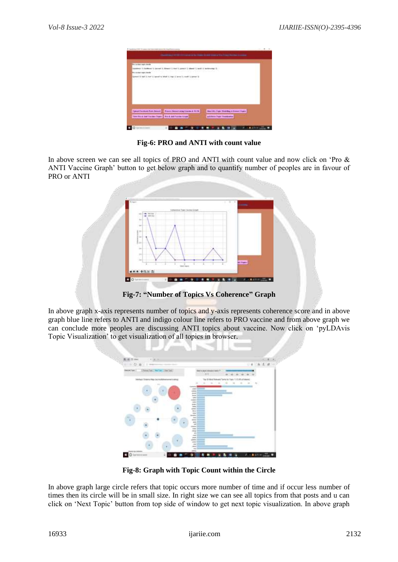

**Fig-6: PRO and ANTI with count value**

In above screen we can see all topics of PRO and ANTI with count value and now click on 'Pro & ANTI Vaccine Graph' button to get below graph and to quantify number of peoples are in favour of PRO or ANTI



**Fig-7: "Number of Topics Vs Coherence" Graph**

In above graph x-axis represents number of topics and y-axis represents coherence score and in above graph blue line refers to ANTI and indigo colour line refers to PRO vaccine and from above graph we can conclude more peoples are discussing ANTI topics about vaccine. Now click on 'pyLDAvis Topic Visualization' to get visualization of all topics in browser.



**Fig-8: Graph with Topic Count within the Circle**

In above graph large circle refers that topic occurs more number of time and if occur less number of times then its circle will be in small size. In right size we can see all topics from that posts and u can click on 'Next Topic' button from top side of window to get next topic visualization. In above graph